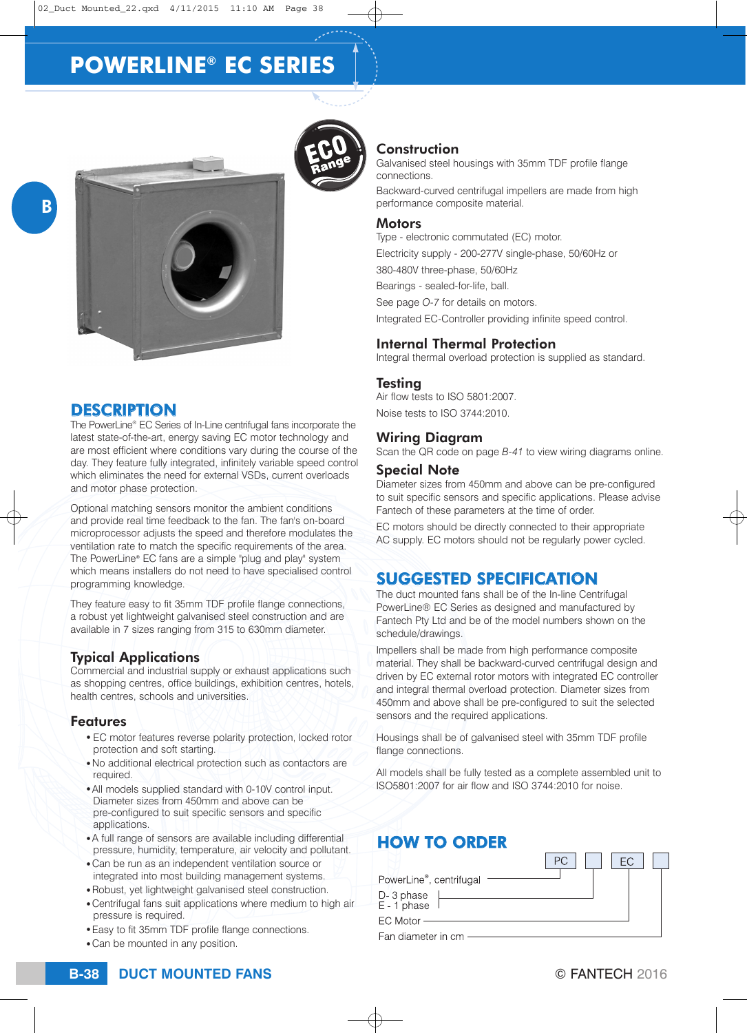

### **DESCRIPTION**

B

The PowerLine® EC Series of In-Line centrifugal fans incorporate the latest state-of-the-art, energy saving EC motor technology and are most efficient where conditions vary during the course of the day. They feature fully integrated, infinitely variable speed control which eliminates the need for external VSDs, current overloads and motor phase protection.

Optional matching sensors monitor the ambient conditions and provide real time feedback to the fan. The fan's on-board microprocessor adjusts the speed and therefore modulates the ventilation rate to match the specific requirements of the area. The PowerLine® EC fans are a simple "plug and play" system which means installers do not need to have specialised control programming knowledge.

They feature easy to fit 35mm TDF profile flange connections, a robust yet lightweight galvanised steel construction and are available in 7 sizes ranging from 315 to 630mm diameter.

### Typical Applications

Commercial and industrial supply or exhaust applications such as shopping centres, office buildings, exhibition centres, hotels, health centres, schools and universities.

#### Features

- EC motor features reverse polarity protection, locked rotor protection and soft starting.
- . No additional electrical protection such as contactors are required.
- All models supplied standard with 0-10V control input. Diameter sizes from 450mm and above can be pre-configured to suit specific sensors and specific applications.
- A full range of sensors are available including differential pressure, humidity, temperature, air velocity and pollutant.
- Can be run as an independent ventilation source or integrated into most building management systems.
- Robust, yet lightweight galvanised steel construction.
- Centrifugal fans suit applications where medium to high air pressure is required.
- Easy to fit 35mm TDF profile flange connections.
- Can be mounted in any position.



### **Construction**

Galvanised steel housings with 35mm TDF profile flange connections.

Backward-curved centrifugal impellers are made from high performance composite material.

#### **Motors**

Type - electronic commutated (EC) motor.

Electricity supply - 200-277V single-phase, 50/60Hz or

380-480V three-phase, 50/60Hz Bearings - sealed-for-life, ball.

See page *O-7* for details on motors.

Integrated EC-Controller providing infinite speed control.

### Internal Thermal Protection

Integral thermal overload protection is supplied as standard.

#### Testing

Air flow tests to ISO 5801:2007. Noise tests to ISO 3744:2010.

#### Wiring Diagram

Scan the QR code on page *B-41* to view wiring diagrams online.

#### Special Note

Diameter sizes from 450mm and above can be pre-configured to suit specific sensors and specific applications. Please advise Fantech of these parameters at the time of order.

EC motors should be directly connected to their appropriate AC supply. EC motors should not be regularly power cycled.

## SUGGESTED SPECIFICATION

The duct mounted fans shall be of the In-line Centrifugal PowerLine® EC Series as designed and manufactured by Fantech Pty Ltd and be of the model numbers shown on the schedule/drawings.

Impellers shall be made from high performance composite material. They shall be backward-curved centrifugal design and driven by EC external rotor motors with integrated EC controller and integral thermal overload protection. Diameter sizes from 450mm and above shall be pre-configured to suit the selected sensors and the required applications.

Housings shall be of galvanised steel with 35mm TDF profile flange connections.

All models shall be fully tested as a complete assembled unit to ISO5801:2007 for air flow and ISO 3744:2010 for noise.

## HOW TO ORDER

| PowerLine <sup>®</sup> , centrifugal |  |  |  |  |
|--------------------------------------|--|--|--|--|
| D-3 phase<br>E-1 phase               |  |  |  |  |
| $EC$ Motor $-$                       |  |  |  |  |
| Fan diameter in cm                   |  |  |  |  |

 $PC$   $FC$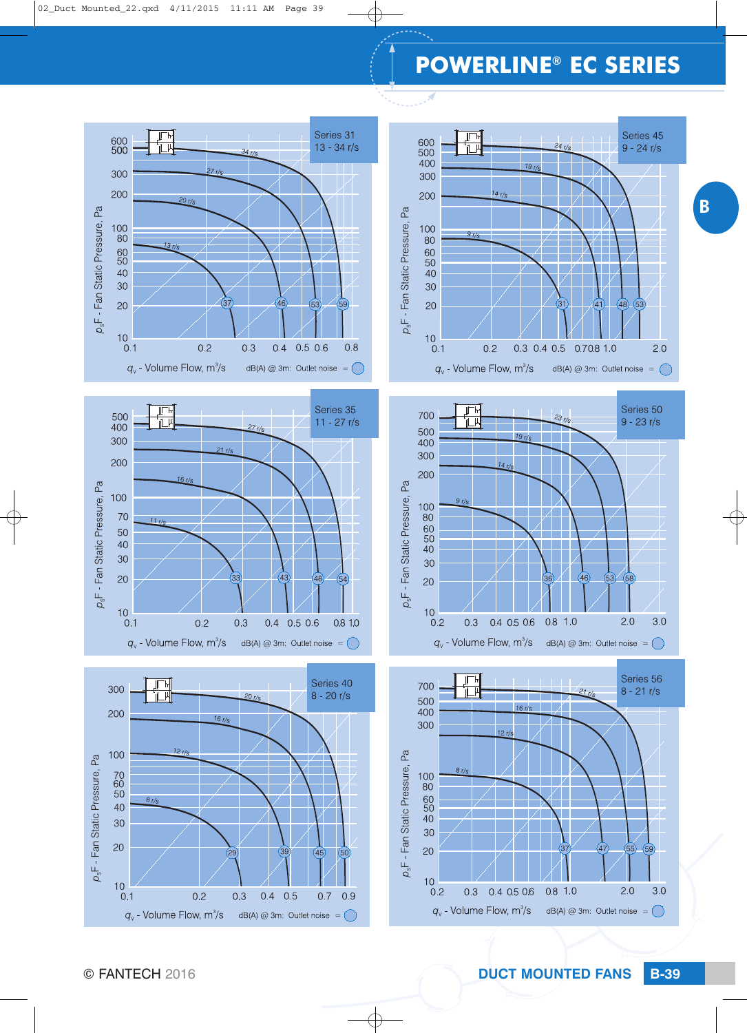









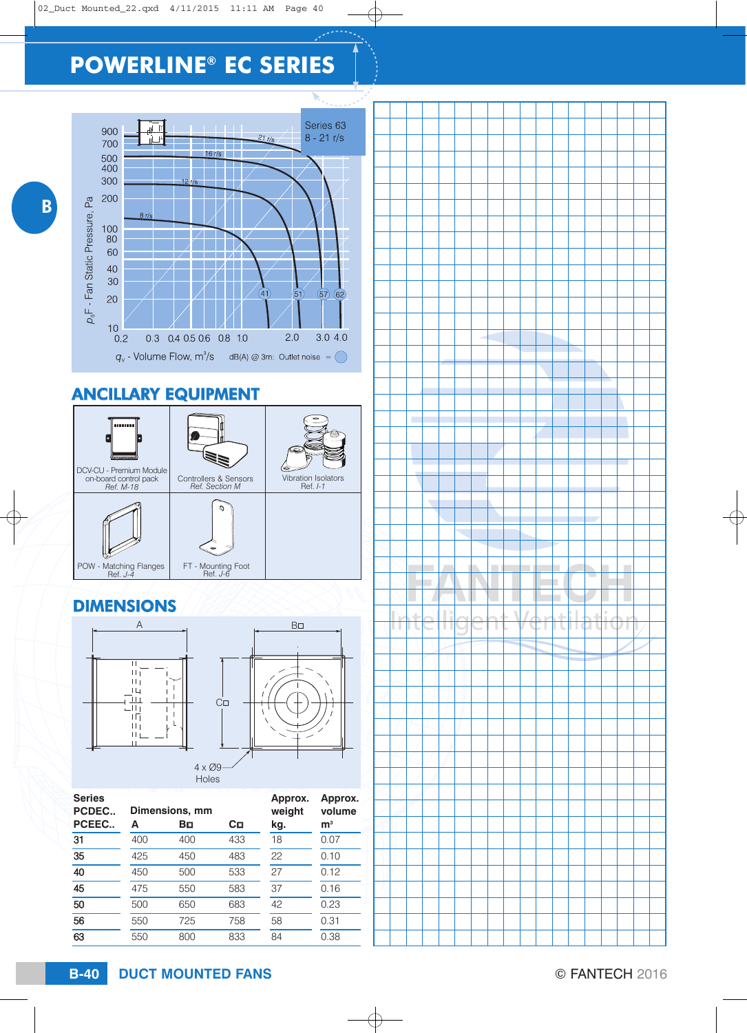

## ANCILLARY EQUIPMENT



## DIMENSIONS



| <b>Series</b><br>PCDEC |     | Dimensions, mm | Approx.<br>weight | Approx.<br>volume |                |
|------------------------|-----|----------------|-------------------|-------------------|----------------|
| PCEEC                  | А   | Bо             | Cп                | kg.               | m <sup>3</sup> |
| 31                     | 400 | 400            | 433               | 18                | 0.07           |
| 35                     | 425 | 450            | 483               | 22                | 0.10           |
| 40                     | 450 | 500            | 533               | 27                | 0.12           |
| 45                     | 475 | 550            | 583               | 37                | 0.16           |
| 50                     | 500 | 650            | 683               | 42                | 0.23           |
| 56                     | 550 | 725            | 758               | 58                | 0.31           |
| 63                     | 550 | 800            | 833               | 84                | 0.38           |



**DUCT MOUNTED FANS B-40** © FANTECH 2016